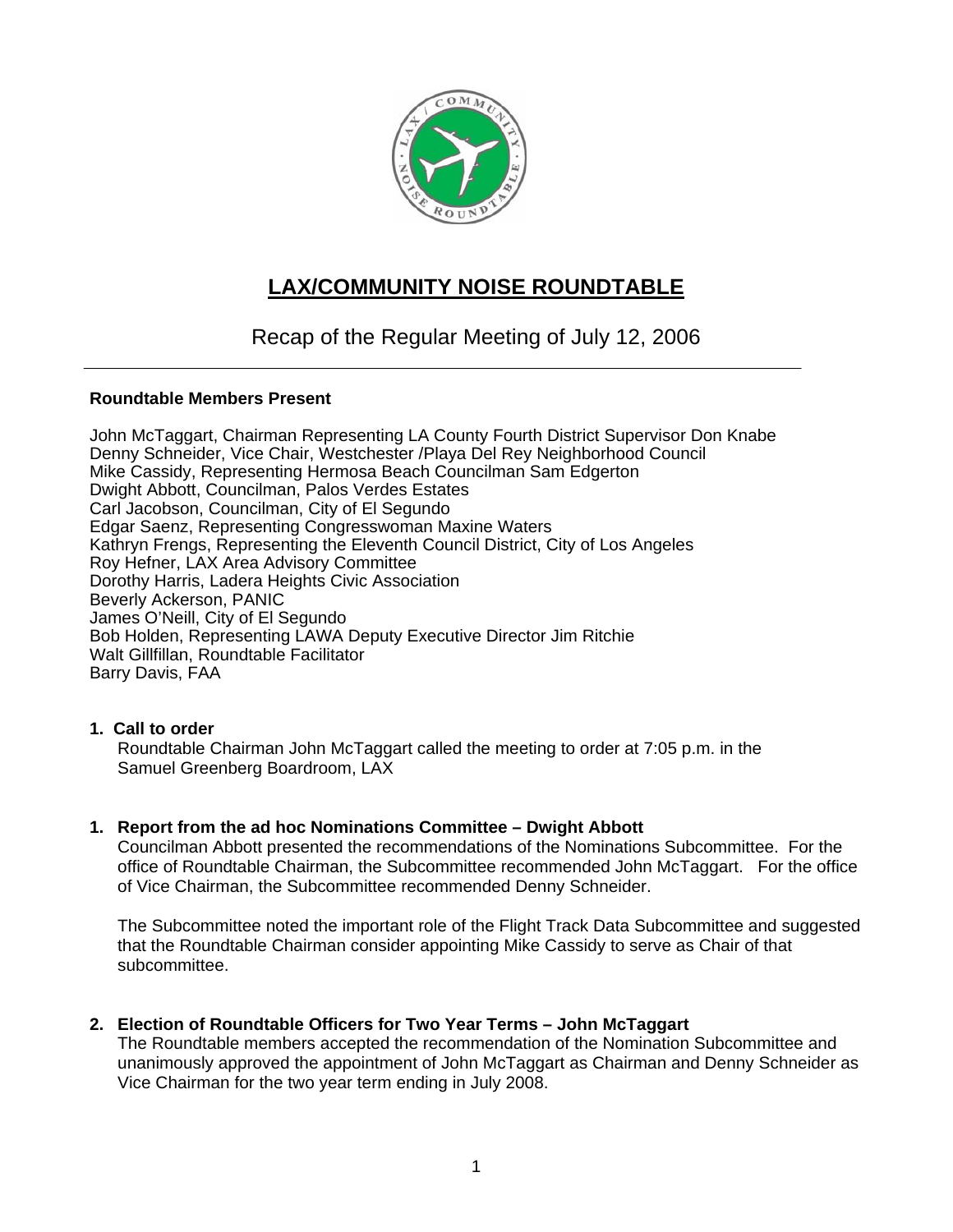

# **LAX/COMMUNITY NOISE ROUNDTABLE**

Recap of the Regular Meeting of July 12, 2006

### **Roundtable Members Present**

John McTaggart, Chairman Representing LA County Fourth District Supervisor Don Knabe Denny Schneider, Vice Chair, Westchester /Playa Del Rey Neighborhood Council Mike Cassidy, Representing Hermosa Beach Councilman Sam Edgerton Dwight Abbott, Councilman, Palos Verdes Estates Carl Jacobson, Councilman, City of El Segundo Edgar Saenz, Representing Congresswoman Maxine Waters Kathryn Frengs, Representing the Eleventh Council District, City of Los Angeles Roy Hefner, LAX Area Advisory Committee Dorothy Harris, Ladera Heights Civic Association Beverly Ackerson, PANIC James O'Neill, City of El Segundo Bob Holden, Representing LAWA Deputy Executive Director Jim Ritchie Walt Gillfillan, Roundtable Facilitator Barry Davis, FAA

### **1. Call to order**

Roundtable Chairman John McTaggart called the meeting to order at 7:05 p.m. in the Samuel Greenberg Boardroom, LAX

### **1. Report from the ad hoc Nominations Committee – Dwight Abbott**

Councilman Abbott presented the recommendations of the Nominations Subcommittee. For the office of Roundtable Chairman, the Subcommittee recommended John McTaggart. For the office of Vice Chairman, the Subcommittee recommended Denny Schneider.

The Subcommittee noted the important role of the Flight Track Data Subcommittee and suggested that the Roundtable Chairman consider appointing Mike Cassidy to serve as Chair of that subcommittee.

### **2. Election of Roundtable Officers for Two Year Terms – John McTaggart**

The Roundtable members accepted the recommendation of the Nomination Subcommittee and unanimously approved the appointment of John McTaggart as Chairman and Denny Schneider as Vice Chairman for the two year term ending in July 2008.